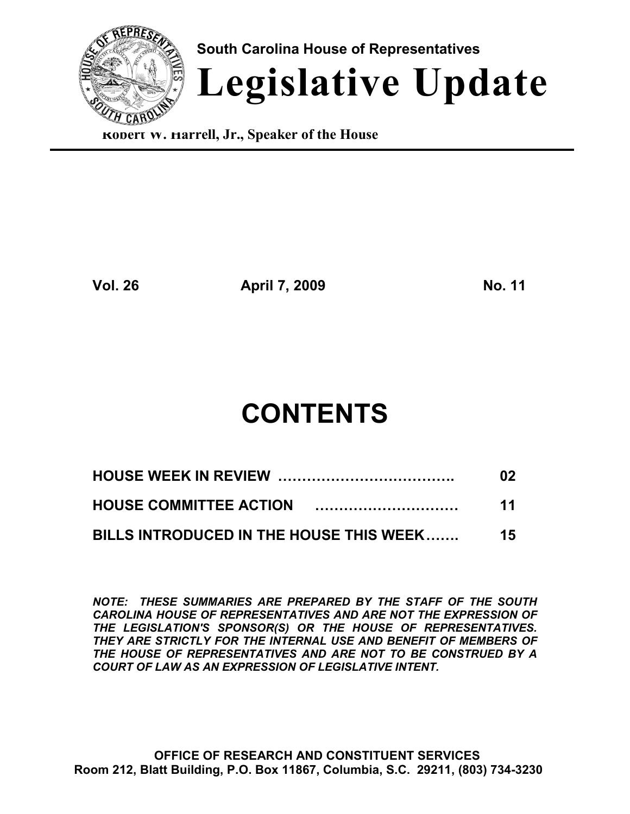

**Robert W. Harrell, Jr., Speaker of the House**

**Vol. 26 April 7, 2009 No. 11**

# **CONTENTS**

|                                         | 02  |
|-----------------------------------------|-----|
|                                         | 11  |
| BILLS INTRODUCED IN THE HOUSE THIS WEEK | 15. |

*NOTE: THESE SUMMARIES ARE PREPARED BY THE STAFF OF THE SOUTH CAROLINA HOUSE OF REPRESENTATIVES AND ARE NOT THE EXPRESSION OF THE LEGISLATION'S SPONSOR(S) OR THE HOUSE OF REPRESENTATIVES. THEY ARE STRICTLY FOR THE INTERNAL USE AND BENEFIT OF MEMBERS OF THE HOUSE OF REPRESENTATIVES AND ARE NOT TO BE CONSTRUED BY A COURT OF LAW AS AN EXPRESSION OF LEGISLATIVE INTENT.*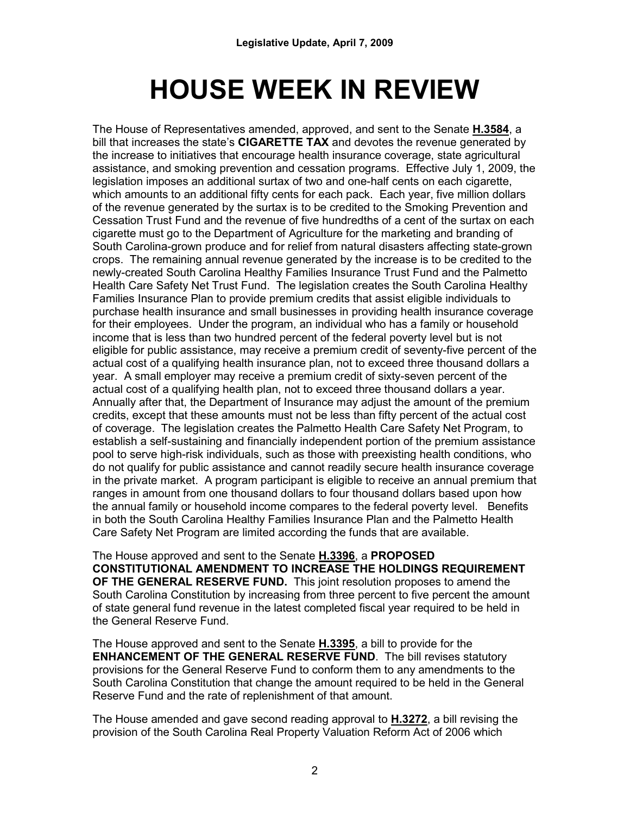# **HOUSE WEEK IN REVIEW**

The House of Representatives amended, approved, and sent to the Senate **H.3584**, a bill that increases the state's **CIGARETTE TAX** and devotes the revenue generated by the increase to initiatives that encourage health insurance coverage, state agricultural assistance, and smoking prevention and cessation programs. Effective July 1, 2009, the legislation imposes an additional surtax of two and one-half cents on each cigarette, which amounts to an additional fifty cents for each pack. Each year, five million dollars of the revenue generated by the surtax is to be credited to the Smoking Prevention and Cessation Trust Fund and the revenue of five hundredths of a cent of the surtax on each cigarette must go to the Department of Agriculture for the marketing and branding of South Carolina-grown produce and for relief from natural disasters affecting state-grown crops. The remaining annual revenue generated by the increase is to be credited to the newly-created South Carolina Healthy Families Insurance Trust Fund and the Palmetto Health Care Safety Net Trust Fund. The legislation creates the South Carolina Healthy Families Insurance Plan to provide premium credits that assist eligible individuals to purchase health insurance and small businesses in providing health insurance coverage for their employees. Under the program, an individual who has a family or household income that is less than two hundred percent of the federal poverty level but is not eligible for public assistance, may receive a premium credit of seventy-five percent of the actual cost of a qualifying health insurance plan, not to exceed three thousand dollars a year. A small employer may receive a premium credit of sixty-seven percent of the actual cost of a qualifying health plan, not to exceed three thousand dollars a year. Annually after that, the Department of Insurance may adjust the amount of the premium credits, except that these amounts must not be less than fifty percent of the actual cost of coverage. The legislation creates the Palmetto Health Care Safety Net Program, to establish a self-sustaining and financially independent portion of the premium assistance pool to serve high-risk individuals, such as those with preexisting health conditions, who do not qualify for public assistance and cannot readily secure health insurance coverage in the private market. A program participant is eligible to receive an annual premium that ranges in amount from one thousand dollars to four thousand dollars based upon how the annual family or household income compares to the federal poverty level. Benefits in both the South Carolina Healthy Families Insurance Plan and the Palmetto Health Care Safety Net Program are limited according the funds that are available.

The House approved and sent to the Senate **H.3396**, a **PROPOSED CONSTITUTIONAL AMENDMENT TO INCREASE THE HOLDINGS REQUIREMENT OF THE GENERAL RESERVE FUND.** This joint resolution proposes to amend the South Carolina Constitution by increasing from three percent to five percent the amount of state general fund revenue in the latest completed fiscal year required to be held in the General Reserve Fund.

The House approved and sent to the Senate **H.3395**, a bill to provide for the **ENHANCEMENT OF THE GENERAL RESERVE FUND**. The bill revises statutory provisions for the General Reserve Fund to conform them to any amendments to the South Carolina Constitution that change the amount required to be held in the General Reserve Fund and the rate of replenishment of that amount.

The House amended and gave second reading approval to **H.3272**, a bill revising the provision of the South Carolina Real Property Valuation Reform Act of 2006 which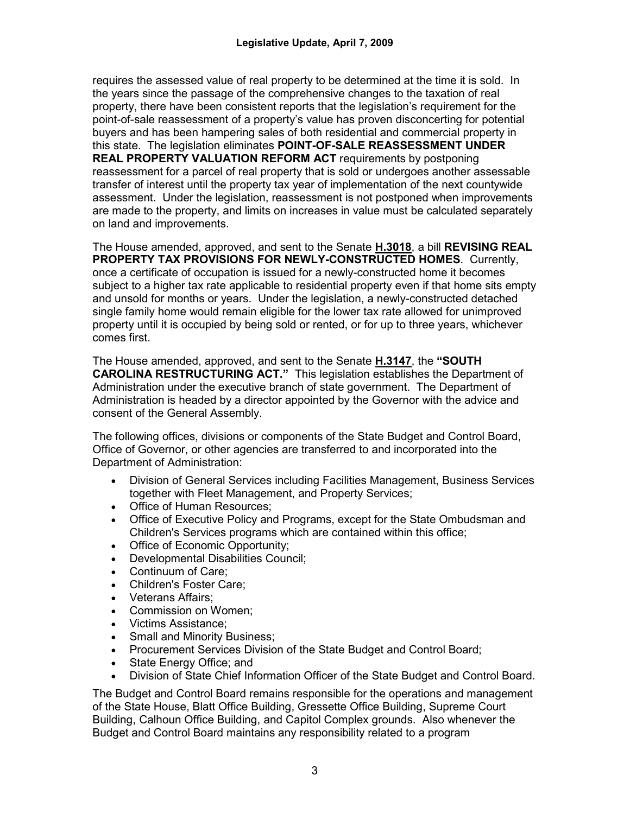requires the assessed value of real property to be determined at the time it is sold. In the years since the passage of the comprehensive changes to the taxation of real property, there have been consistent reports that the legislation's requirement for the point-of-sale reassessment of a property's value has proven disconcerting for potential buyers and has been hampering sales of both residential and commercial property in this state. The legislation eliminates **POINT-OF-SALE REASSESSMENT UNDER REAL PROPERTY VALUATION REFORM ACT** requirements by postponing reassessment for a parcel of real property that is sold or undergoes another assessable transfer of interest until the property tax year of implementation of the next countywide assessment. Under the legislation, reassessment is not postponed when improvements are made to the property, and limits on increases in value must be calculated separately on land and improvements.

The House amended, approved, and sent to the Senate **H.3018**, a bill **REVISING REAL PROPERTY TAX PROVISIONS FOR NEWLY-CONSTRUCTED HOMES**. Currently, once a certificate of occupation is issued for a newly-constructed home it becomes subject to a higher tax rate applicable to residential property even if that home sits empty and unsold for months or years. Under the legislation, a newly-constructed detached single family home would remain eligible for the lower tax rate allowed for unimproved property until it is occupied by being sold or rented, or for up to three years, whichever comes first.

The House amended, approved, and sent to the Senate **H.3147**, the **"SOUTH CAROLINA RESTRUCTURING ACT."** This legislation establishes the Department of Administration under the executive branch of state government. The Department of Administration is headed by a director appointed by the Governor with the advice and consent of the General Assembly.

The following offices, divisions or components of the State Budget and Control Board, Office of Governor, or other agencies are transferred to and incorporated into the Department of Administration:

- Division of General Services including Facilities Management, Business Services together with Fleet Management, and Property Services;
- Office of Human Resources;
- Office of Executive Policy and Programs, except for the State Ombudsman and Children's Services programs which are contained within this office;
- Office of Economic Opportunity;
- Developmental Disabilities Council;
- Continuum of Care;
- Children's Foster Care;
- Veterans Affairs;
- Commission on Women;
- Victims Assistance;
- Small and Minority Business;
- Procurement Services Division of the State Budget and Control Board;
- State Energy Office; and
- Division of State Chief Information Officer of the State Budget and Control Board.

The Budget and Control Board remains responsible for the operations and management of the State House, Blatt Office Building, Gressette Office Building, Supreme Court Building, Calhoun Office Building, and Capitol Complex grounds. Also whenever the Budget and Control Board maintains any responsibility related to a program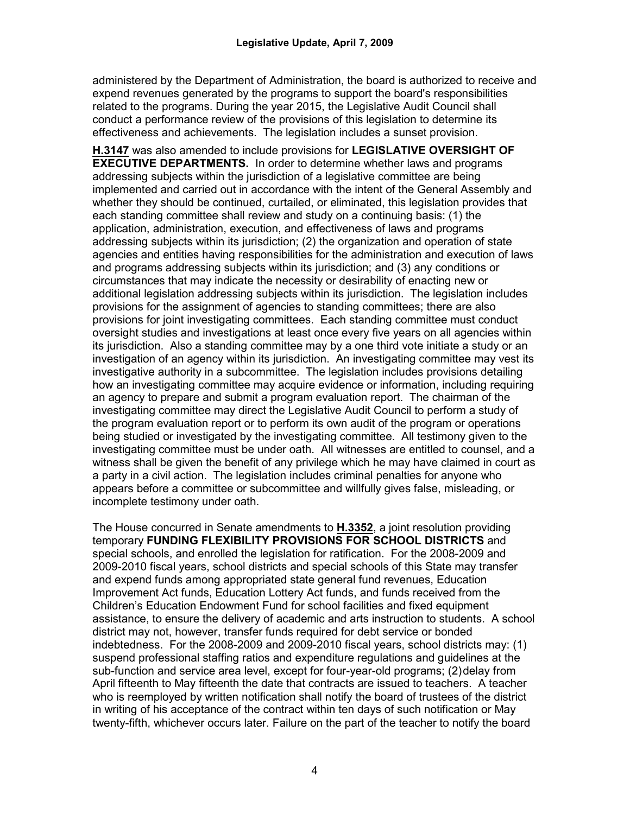administered by the Department of Administration, the board is authorized to receive and expend revenues generated by the programs to support the board's responsibilities related to the programs. During the year 2015, the Legislative Audit Council shall conduct a performance review of the provisions of this legislation to determine its effectiveness and achievements. The legislation includes a sunset provision.

**H.3147** was also amended to include provisions for **LEGISLATIVE OVERSIGHT OF EXECUTIVE DEPARTMENTS.** In order to determine whether laws and programs addressing subjects within the jurisdiction of a legislative committee are being implemented and carried out in accordance with the intent of the General Assembly and whether they should be continued, curtailed, or eliminated, this legislation provides that each standing committee shall review and study on a continuing basis: (1) the application, administration, execution, and effectiveness of laws and programs addressing subjects within its jurisdiction; (2) the organization and operation of state agencies and entities having responsibilities for the administration and execution of laws and programs addressing subjects within its jurisdiction; and (3) any conditions or circumstances that may indicate the necessity or desirability of enacting new or additional legislation addressing subjects within its jurisdiction. The legislation includes provisions for the assignment of agencies to standing committees; there are also provisions for joint investigating committees. Each standing committee must conduct oversight studies and investigations at least once every five years on all agencies within its jurisdiction. Also a standing committee may by a one third vote initiate a study or an investigation of an agency within its jurisdiction. An investigating committee may vest its investigative authority in a subcommittee. The legislation includes provisions detailing how an investigating committee may acquire evidence or information, including requiring an agency to prepare and submit a program evaluation report. The chairman of the investigating committee may direct the Legislative Audit Council to perform a study of the program evaluation report or to perform its own audit of the program or operations being studied or investigated by the investigating committee. All testimony given to the investigating committee must be under oath. All witnesses are entitled to counsel, and a witness shall be given the benefit of any privilege which he may have claimed in court as a party in a civil action. The legislation includes criminal penalties for anyone who appears before a committee or subcommittee and willfully gives false, misleading, or incomplete testimony under oath.

The House concurred in Senate amendments to **H.3352**, a joint resolution providing temporary **FUNDING FLEXIBILITY PROVISIONS FOR SCHOOL DISTRICTS** and special schools, and enrolled the legislation for ratification. For the 2008-2009 and 2009-2010 fiscal years, school districts and special schools of this State may transfer and expend funds among appropriated state general fund revenues, Education Improvement Act funds, Education Lottery Act funds, and funds received from the Children's Education Endowment Fund for school facilities and fixed equipment assistance, to ensure the delivery of academic and arts instruction to students. A school district may not, however, transfer funds required for debt service or bonded indebtedness. For the 2008-2009 and 2009-2010 fiscal years, school districts may: (1) suspend professional staffing ratios and expenditure regulations and guidelines at the sub-function and service area level, except for four-year-old programs; (2)delay from April fifteenth to May fifteenth the date that contracts are issued to teachers. A teacher who is reemployed by written notification shall notify the board of trustees of the district in writing of his acceptance of the contract within ten days of such notification or May twenty-fifth, whichever occurs later. Failure on the part of the teacher to notify the board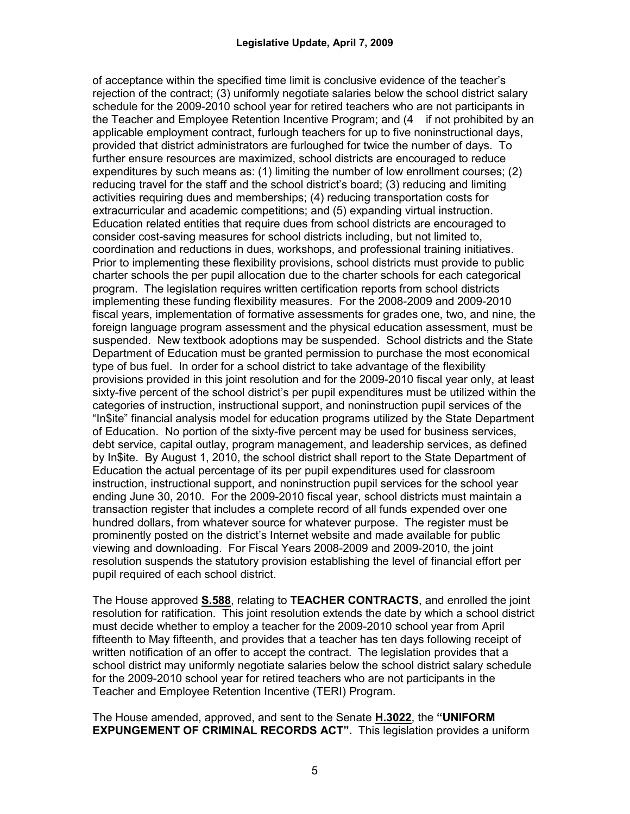of acceptance within the specified time limit is conclusive evidence of the teacher's rejection of the contract; (3) uniformly negotiate salaries below the school district salary schedule for the 2009-2010 school year for retired teachers who are not participants in the Teacher and Employee Retention Incentive Program; and (4 if not prohibited by an applicable employment contract, furlough teachers for up to five noninstructional days, provided that district administrators are furloughed for twice the number of days. To further ensure resources are maximized, school districts are encouraged to reduce expenditures by such means as: (1) limiting the number of low enrollment courses; (2) reducing travel for the staff and the school district's board; (3) reducing and limiting activities requiring dues and memberships; (4) reducing transportation costs for extracurricular and academic competitions; and (5) expanding virtual instruction. Education related entities that require dues from school districts are encouraged to consider cost-saving measures for school districts including, but not limited to, coordination and reductions in dues, workshops, and professional training initiatives. Prior to implementing these flexibility provisions, school districts must provide to public charter schools the per pupil allocation due to the charter schools for each categorical program. The legislation requires written certification reports from school districts implementing these funding flexibility measures. For the 2008-2009 and 2009-2010 fiscal years, implementation of formative assessments for grades one, two, and nine, the foreign language program assessment and the physical education assessment, must be suspended. New textbook adoptions may be suspended. School districts and the State Department of Education must be granted permission to purchase the most economical type of bus fuel. In order for a school district to take advantage of the flexibility provisions provided in this joint resolution and for the 2009-2010 fiscal year only, at least sixty-five percent of the school district's per pupil expenditures must be utilized within the categories of instruction, instructional support, and noninstruction pupil services of the "In\$ite" financial analysis model for education programs utilized by the State Department of Education. No portion of the sixty-five percent may be used for business services, debt service, capital outlay, program management, and leadership services, as defined by In\$ite. By August 1, 2010, the school district shall report to the State Department of Education the actual percentage of its per pupil expenditures used for classroom instruction, instructional support, and noninstruction pupil services for the school year ending June 30, 2010. For the 2009-2010 fiscal year, school districts must maintain a transaction register that includes a complete record of all funds expended over one hundred dollars, from whatever source for whatever purpose. The register must be prominently posted on the district's Internet website and made available for public viewing and downloading. For Fiscal Years 2008-2009 and 2009-2010, the joint resolution suspends the statutory provision establishing the level of financial effort per pupil required of each school district.

The House approved **S.588**, relating to **TEACHER CONTRACTS**, and enrolled the joint resolution for ratification. This joint resolution extends the date by which a school district must decide whether to employ a teacher for the 2009-2010 school year from April fifteenth to May fifteenth, and provides that a teacher has ten days following receipt of written notification of an offer to accept the contract. The legislation provides that a school district may uniformly negotiate salaries below the school district salary schedule for the 2009-2010 school year for retired teachers who are not participants in the Teacher and Employee Retention Incentive (TERI) Program.

The House amended, approved, and sent to the Senate **H.3022**, the **"UNIFORM EXPUNGEMENT OF CRIMINAL RECORDS ACT".** This legislation provides a uniform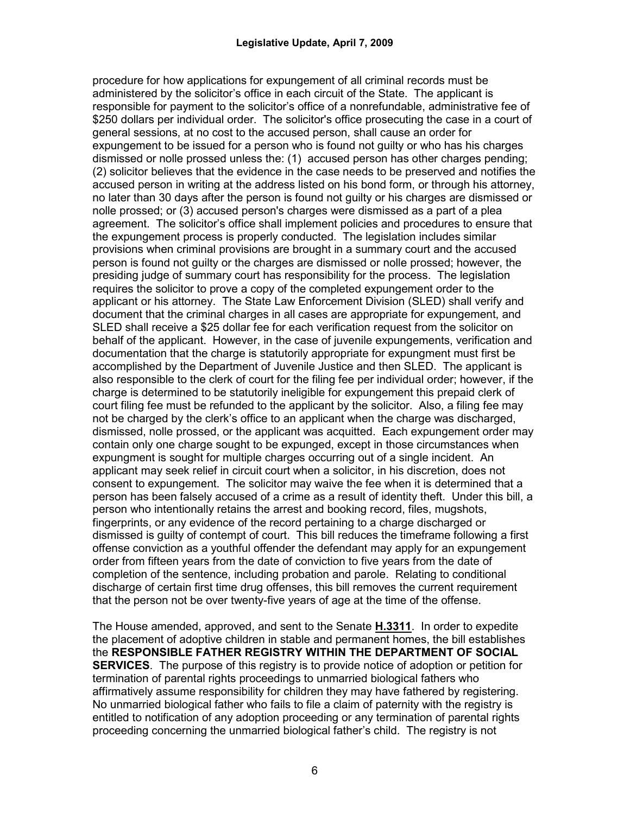procedure for how applications for expungement of all criminal records must be administered by the solicitor's office in each circuit of the State. The applicant is responsible for payment to the solicitor's office of a nonrefundable, administrative fee of \$250 dollars per individual order. The solicitor's office prosecuting the case in a court of general sessions, at no cost to the accused person, shall cause an order for expungement to be issued for a person who is found not guilty or who has his charges dismissed or nolle prossed unless the: (1) accused person has other charges pending; (2) solicitor believes that the evidence in the case needs to be preserved and notifies the accused person in writing at the address listed on his bond form, or through his attorney, no later than 30 days after the person is found not guilty or his charges are dismissed or nolle prossed; or (3) accused person's charges were dismissed as a part of a plea agreement. The solicitor's office shall implement policies and procedures to ensure that the expungement process is properly conducted. The legislation includes similar provisions when criminal provisions are brought in a summary court and the accused person is found not guilty or the charges are dismissed or nolle prossed; however, the presiding judge of summary court has responsibility for the process. The legislation requires the solicitor to prove a copy of the completed expungement order to the applicant or his attorney. The State Law Enforcement Division (SLED) shall verify and document that the criminal charges in all cases are appropriate for expungement, and SLED shall receive a \$25 dollar fee for each verification request from the solicitor on behalf of the applicant. However, in the case of juvenile expungements, verification and documentation that the charge is statutorily appropriate for expungment must first be accomplished by the Department of Juvenile Justice and then SLED. The applicant is also responsible to the clerk of court for the filing fee per individual order; however, if the charge is determined to be statutorily ineligible for expungement this prepaid clerk of court filing fee must be refunded to the applicant by the solicitor. Also, a filing fee may not be charged by the clerk's office to an applicant when the charge was discharged, dismissed, nolle prossed, or the applicant was acquitted. Each expungement order may contain only one charge sought to be expunged, except in those circumstances when expungment is sought for multiple charges occurring out of a single incident. An applicant may seek relief in circuit court when a solicitor, in his discretion, does not consent to expungement. The solicitor may waive the fee when it is determined that a person has been falsely accused of a crime as a result of identity theft. Under this bill, a person who intentionally retains the arrest and booking record, files, mugshots, fingerprints, or any evidence of the record pertaining to a charge discharged or dismissed is guilty of contempt of court. This bill reduces the timeframe following a first offense conviction as a youthful offender the defendant may apply for an expungement order from fifteen years from the date of conviction to five years from the date of completion of the sentence, including probation and parole. Relating to conditional discharge of certain first time drug offenses, this bill removes the current requirement that the person not be over twenty-five years of age at the time of the offense.

The House amended, approved, and sent to the Senate **H.3311**. In order to expedite the placement of adoptive children in stable and permanent homes, the bill establishes the **RESPONSIBLE FATHER REGISTRY WITHIN THE DEPARTMENT OF SOCIAL SERVICES**. The purpose of this registry is to provide notice of adoption or petition for termination of parental rights proceedings to unmarried biological fathers who affirmatively assume responsibility for children they may have fathered by registering. No unmarried biological father who fails to file a claim of paternity with the registry is entitled to notification of any adoption proceeding or any termination of parental rights proceeding concerning the unmarried biological father's child. The registry is not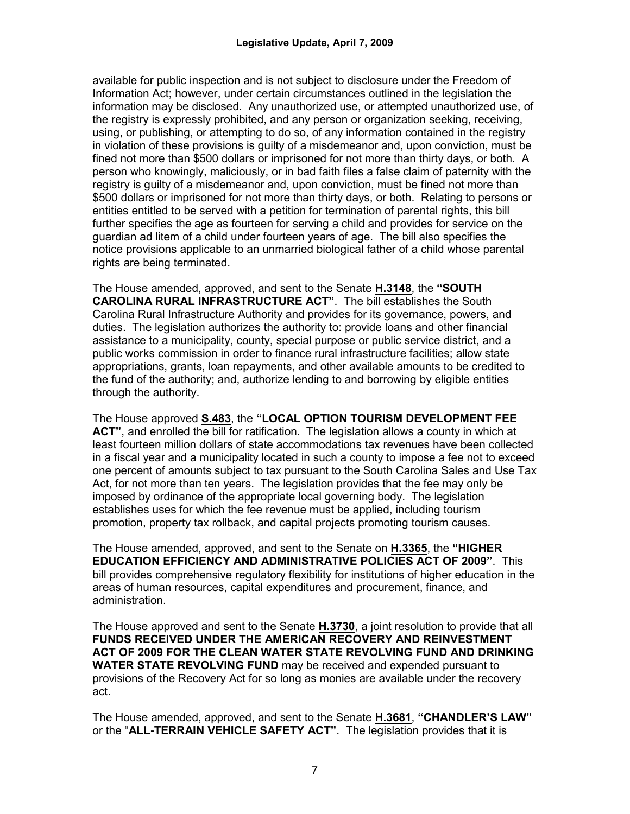available for public inspection and is not subject to disclosure under the Freedom of Information Act; however, under certain circumstances outlined in the legislation the information may be disclosed. Any unauthorized use, or attempted unauthorized use, of the registry is expressly prohibited, and any person or organization seeking, receiving, using, or publishing, or attempting to do so, of any information contained in the registry in violation of these provisions is guilty of a misdemeanor and, upon conviction, must be fined not more than \$500 dollars or imprisoned for not more than thirty days, or both. A person who knowingly, maliciously, or in bad faith files a false claim of paternity with the registry is guilty of a misdemeanor and, upon conviction, must be fined not more than \$500 dollars or imprisoned for not more than thirty days, or both. Relating to persons or entities entitled to be served with a petition for termination of parental rights, this bill further specifies the age as fourteen for serving a child and provides for service on the guardian ad litem of a child under fourteen years of age. The bill also specifies the notice provisions applicable to an unmarried biological father of a child whose parental rights are being terminated.

The House amended, approved, and sent to the Senate **H.3148**, the **"SOUTH CAROLINA RURAL INFRASTRUCTURE ACT"**. The bill establishes the South Carolina Rural Infrastructure Authority and provides for its governance, powers, and duties. The legislation authorizes the authority to: provide loans and other financial assistance to a municipality, county, special purpose or public service district, and a public works commission in order to finance rural infrastructure facilities; allow state appropriations, grants, loan repayments, and other available amounts to be credited to the fund of the authority; and, authorize lending to and borrowing by eligible entities through the authority.

The House approved **S.483**, the **"LOCAL OPTION TOURISM DEVELOPMENT FEE ACT"**, and enrolled the bill for ratification. The legislation allows a county in which at least fourteen million dollars of state accommodations tax revenues have been collected in a fiscal year and a municipality located in such a county to impose a fee not to exceed one percent of amounts subject to tax pursuant to the South Carolina Sales and Use Tax Act, for not more than ten years. The legislation provides that the fee may only be imposed by ordinance of the appropriate local governing body. The legislation establishes uses for which the fee revenue must be applied, including tourism promotion, property tax rollback, and capital projects promoting tourism causes.

The House amended, approved, and sent to the Senate on **H.3365**, the **"HIGHER EDUCATION EFFICIENCY AND ADMINISTRATIVE POLICIES ACT OF 2009"**. This bill provides comprehensive regulatory flexibility for institutions of higher education in the areas of human resources, capital expenditures and procurement, finance, and administration.

The House approved and sent to the Senate **H.3730**, a joint resolution to provide that all **FUNDS RECEIVED UNDER THE AMERICAN RECOVERY AND REINVESTMENT ACT OF 2009 FOR THE CLEAN WATER STATE REVOLVING FUND AND DRINKING WATER STATE REVOLVING FUND** may be received and expended pursuant to provisions of the Recovery Act for so long as monies are available under the recovery act.

The House amended, approved, and sent to the Senate **H.3681**, **"CHANDLER'S LAW"** or the "**ALL-TERRAIN VEHICLE SAFETY ACT"**. The legislation provides that it is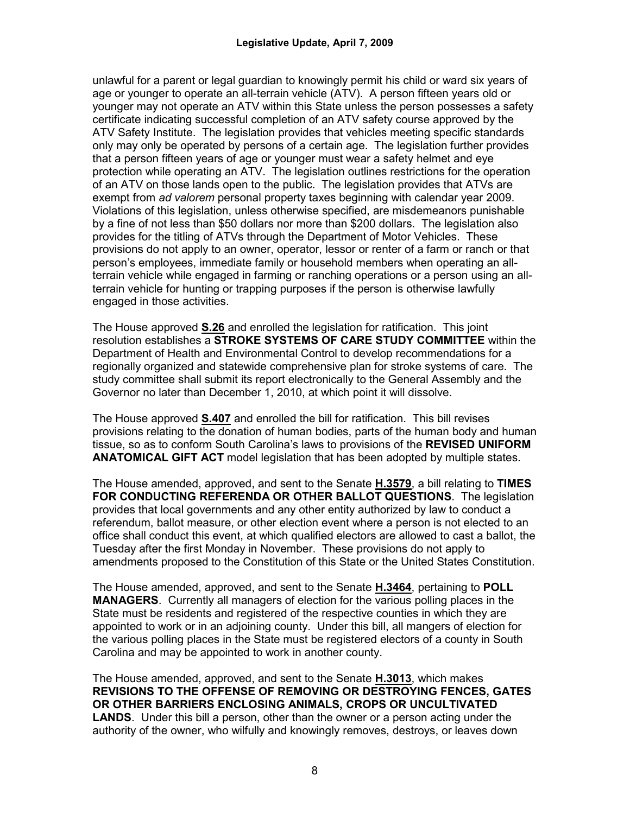unlawful for a parent or legal guardian to knowingly permit his child or ward six years of age or younger to operate an all-terrain vehicle (ATV). A person fifteen years old or younger may not operate an ATV within this State unless the person possesses a safety certificate indicating successful completion of an ATV safety course approved by the ATV Safety Institute. The legislation provides that vehicles meeting specific standards only may only be operated by persons of a certain age. The legislation further provides that a person fifteen years of age or younger must wear a safety helmet and eye protection while operating an ATV. The legislation outlines restrictions for the operation of an ATV on those lands open to the public. The legislation provides that ATVs are exempt from *ad valorem* personal property taxes beginning with calendar year 2009. Violations of this legislation, unless otherwise specified, are misdemeanors punishable by a fine of not less than \$50 dollars nor more than \$200 dollars. The legislation also provides for the titling of ATVs through the Department of Motor Vehicles. These provisions do not apply to an owner, operator, lessor or renter of a farm or ranch or that person's employees, immediate family or household members when operating an allterrain vehicle while engaged in farming or ranching operations or a person using an allterrain vehicle for hunting or trapping purposes if the person is otherwise lawfully engaged in those activities.

The House approved **S.26** and enrolled the legislation for ratification. This joint resolution establishes a **STROKE SYSTEMS OF CARE STUDY COMMITTEE** within the Department of Health and Environmental Control to develop recommendations for a regionally organized and statewide comprehensive plan for stroke systems of care. The study committee shall submit its report electronically to the General Assembly and the Governor no later than December 1, 2010, at which point it will dissolve.

The House approved **S.407** and enrolled the bill for ratification. This bill revises provisions relating to the donation of human bodies, parts of the human body and human tissue, so as to conform South Carolina's laws to provisions of the **REVISED UNIFORM ANATOMICAL GIFT ACT** model legislation that has been adopted by multiple states.

The House amended, approved, and sent to the Senate **H.3579**, a bill relating to **TIMES FOR CONDUCTING REFERENDA OR OTHER BALLOT QUESTIONS**. The legislation provides that local governments and any other entity authorized by law to conduct a referendum, ballot measure, or other election event where a person is not elected to an office shall conduct this event, at which qualified electors are allowed to cast a ballot, the Tuesday after the first Monday in November. These provisions do not apply to amendments proposed to the Constitution of this State or the United States Constitution.

The House amended, approved, and sent to the Senate **H.3464**, pertaining to **POLL MANAGERS**. Currently all managers of election for the various polling places in the State must be residents and registered of the respective counties in which they are appointed to work or in an adjoining county. Under this bill, all mangers of election for the various polling places in the State must be registered electors of a county in South Carolina and may be appointed to work in another county.

The House amended, approved, and sent to the Senate **H.3013**, which makes **REVISIONS TO THE OFFENSE OF REMOVING OR DESTROYING FENCES, GATES OR OTHER BARRIERS ENCLOSING ANIMALS, CROPS OR UNCULTIVATED LANDS**.Under this bill a person, other than the owner or a person acting under the authority of the owner, who wilfully and knowingly removes, destroys, or leaves down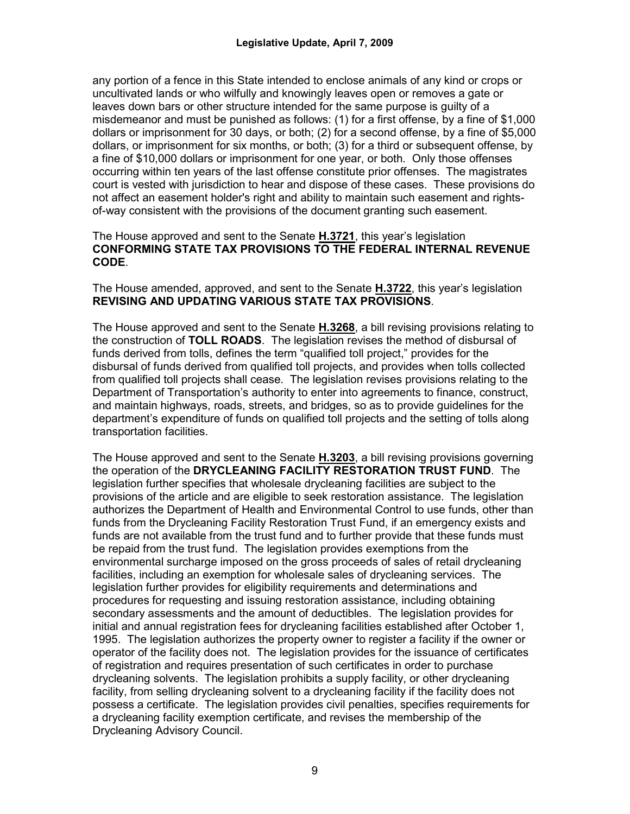any portion of a fence in this State intended to enclose animals of any kind or crops or uncultivated lands or who wilfully and knowingly leaves open or removes a gate or leaves down bars or other structure intended for the same purpose is guilty of a misdemeanor and must be punished as follows: (1) for a first offense, by a fine of \$1,000 dollars or imprisonment for 30 days, or both; (2) for a second offense, by a fine of \$5,000 dollars, or imprisonment for six months, or both; (3) for a third or subsequent offense, by a fine of \$10,000 dollars or imprisonment for one year, or both. Only those offenses occurring within ten years of the last offense constitute prior offenses. The magistrates court is vested with jurisdiction to hear and dispose of these cases. These provisions do not affect an easement holder's right and ability to maintain such easement and rightsof-way consistent with the provisions of the document granting such easement.

#### The House approved and sent to the Senate **H.3721**, this year's legislation **CONFORMING STATE TAX PROVISIONS TO THE FEDERAL INTERNAL REVENUE CODE**.

The House amended, approved, and sent to the Senate **H.3722**, this year's legislation **REVISING AND UPDATING VARIOUS STATE TAX PROVISIONS**.

The House approved and sent to the Senate **H.3268**, a bill revising provisions relating to the construction of **TOLL ROADS**. The legislation revises the method of disbursal of funds derived from tolls, defines the term "qualified toll project," provides for the disbursal of funds derived from qualified toll projects, and provides when tolls collected from qualified toll projects shall cease. The legislation revises provisions relating to the Department of Transportation's authority to enter into agreements to finance, construct, and maintain highways, roads, streets, and bridges, so as to provide guidelines for the department's expenditure of funds on qualified toll projects and the setting of tolls along transportation facilities.

The House approved and sent to the Senate **H.3203**, a bill revising provisions governing the operation of the **DRYCLEANING FACILITY RESTORATION TRUST FUND**. The legislation further specifies that wholesale drycleaning facilities are subject to the provisions of the article and are eligible to seek restoration assistance. The legislation authorizes the Department of Health and Environmental Control to use funds, other than funds from the Drycleaning Facility Restoration Trust Fund, if an emergency exists and funds are not available from the trust fund and to further provide that these funds must be repaid from the trust fund. The legislation provides exemptions from the environmental surcharge imposed on the gross proceeds of sales of retail drycleaning facilities, including an exemption for wholesale sales of drycleaning services. The legislation further provides for eligibility requirements and determinations and procedures for requesting and issuing restoration assistance, including obtaining secondary assessments and the amount of deductibles. The legislation provides for initial and annual registration fees for drycleaning facilities established after October 1, 1995. The legislation authorizes the property owner to register a facility if the owner or operator of the facility does not. The legislation provides for the issuance of certificates of registration and requires presentation of such certificates in order to purchase drycleaning solvents. The legislation prohibits a supply facility, or other drycleaning facility, from selling drycleaning solvent to a drycleaning facility if the facility does not possess a certificate. The legislation provides civil penalties, specifies requirements for a drycleaning facility exemption certificate, and revises the membership of the Drycleaning Advisory Council.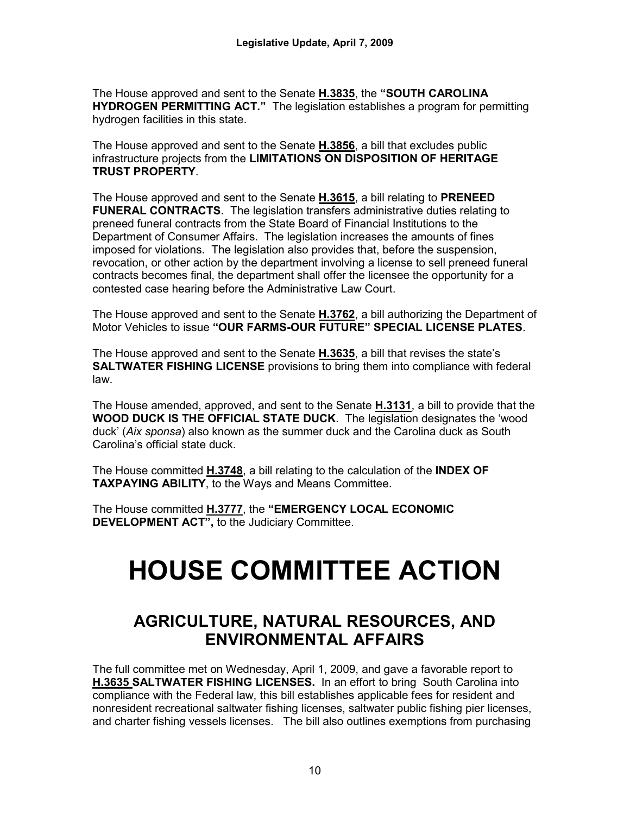The House approved and sent to the Senate **H.3835**, the **"SOUTH CAROLINA HYDROGEN PERMITTING ACT."** The legislation establishes a program for permitting hydrogen facilities in this state.

The House approved and sent to the Senate **H.3856**, a bill that excludes public infrastructure projects from the **LIMITATIONS ON DISPOSITION OF HERITAGE TRUST PROPERTY**.

The House approved and sent to the Senate **H.3615**, a bill relating to **PRENEED FUNERAL CONTRACTS**. The legislation transfers administrative duties relating to preneed funeral contracts from the State Board of Financial Institutions to the Department of Consumer Affairs. The legislation increases the amounts of fines imposed for violations. The legislation also provides that, before the suspension, revocation, or other action by the department involving a license to sell preneed funeral contracts becomes final, the department shall offer the licensee the opportunity for a contested case hearing before the Administrative Law Court.

The House approved and sent to the Senate **H.3762**, a bill authorizing the Department of Motor Vehicles to issue **"OUR FARMS-OUR FUTURE" SPECIAL LICENSE PLATES**.

The House approved and sent to the Senate **H.3635**, a bill that revises the state's **SALTWATER FISHING LICENSE** provisions to bring them into compliance with federal law.

The House amended, approved, and sent to the Senate **H.3131**, a bill to provide that the **WOOD DUCK IS THE OFFICIAL STATE DUCK**. The legislation designates the 'wood duck' (*Aix sponsa*) also known as the summer duck and the Carolina duck as South Carolina's official state duck.

The House committed **H.3748**, a bill relating to the calculation of the **INDEX OF TAXPAYING ABILITY**, to the Ways and Means Committee.

The House committed **H.3777**, the **"EMERGENCY LOCAL ECONOMIC DEVELOPMENT ACT",** to the Judiciary Committee.

# **HOUSE COMMITTEE ACTION**

# **AGRICULTURE, NATURAL RESOURCES, AND ENVIRONMENTAL AFFAIRS**

The full committee met on Wednesday, April 1, 2009, and gave a favorable report to **H.3635 SALTWATER FISHING LICENSES.** In an effort to bring South Carolina into compliance with the Federal law, this bill establishes applicable fees for resident and nonresident recreational saltwater fishing licenses, saltwater public fishing pier licenses, and charter fishing vessels licenses. The bill also outlines exemptions from purchasing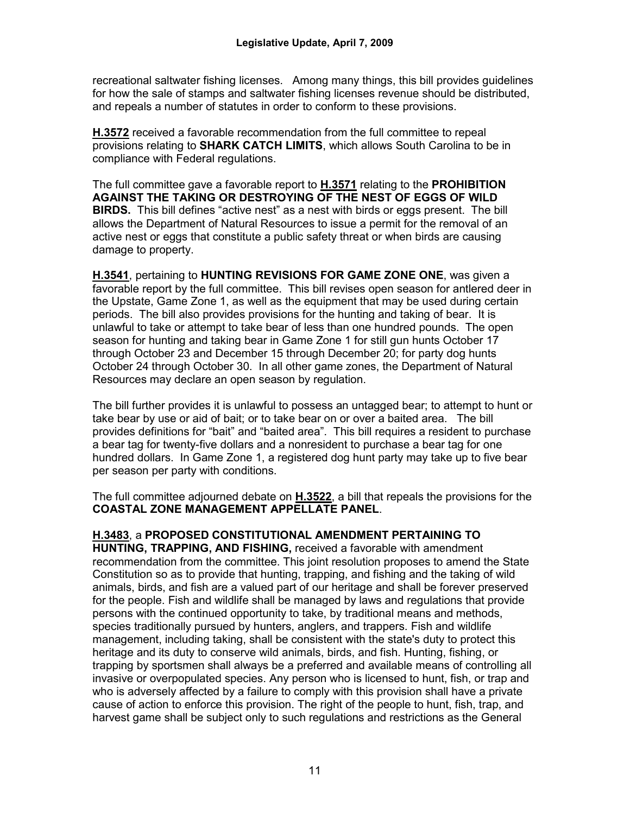recreational saltwater fishing licenses. Among many things, this bill provides guidelines for how the sale of stamps and saltwater fishing licenses revenue should be distributed, and repeals a number of statutes in order to conform to these provisions.

**H.3572** received a favorable recommendation from the full committee to repeal provisions relating to **SHARK CATCH LIMITS**, which allows South Carolina to be in compliance with Federal regulations.

The full committee gave a favorable report to **H.3571** relating to the **PROHIBITION AGAINST THE TAKING OR DESTROYING OF THE NEST OF EGGS OF WILD BIRDS.** This bill defines "active nest" as a nest with birds or eggs present. The bill allows the Department of Natural Resources to issue a permit for the removal of an active nest or eggs that constitute a public safety threat or when birds are causing damage to property.

**H.3541**, pertaining to **HUNTING REVISIONS FOR GAME ZONE ONE**, was given a favorable report by the full committee. This bill revises open season for antlered deer in the Upstate, Game Zone 1, as well as the equipment that may be used during certain periods. The bill also provides provisions for the hunting and taking of bear. It is unlawful to take or attempt to take bear of less than one hundred pounds. The open season for hunting and taking bear in Game Zone 1 for still gun hunts October 17 through October 23 and December 15 through December 20; for party dog hunts October 24 through October 30. In all other game zones, the Department of Natural Resources may declare an open season by regulation.

The bill further provides it is unlawful to possess an untagged bear; to attempt to hunt or take bear by use or aid of bait; or to take bear on or over a baited area. The bill provides definitions for "bait" and "baited area". This bill requires a resident to purchase a bear tag for twenty-five dollars and a nonresident to purchase a bear tag for one hundred dollars. In Game Zone 1, a registered dog hunt party may take up to five bear per season per party with conditions.

The full committee adjourned debate on **H.3522**, a bill that repeals the provisions for the **COASTAL ZONE MANAGEMENT APPELLATE PANEL**.

#### **H.3483**, a **PROPOSED CONSTITUTIONAL AMENDMENT PERTAINING TO**

**HUNTING, TRAPPING, AND FISHING,** received a favorable with amendment recommendation from the committee. This joint resolution proposes to amend the State Constitution so as to provide that hunting, trapping, and fishing and the taking of wild animals, birds, and fish are a valued part of our heritage and shall be forever preserved for the people. Fish and wildlife shall be managed by laws and regulations that provide persons with the continued opportunity to take, by traditional means and methods, species traditionally pursued by hunters, anglers, and trappers. Fish and wildlife management, including taking, shall be consistent with the state's duty to protect this heritage and its duty to conserve wild animals, birds, and fish. Hunting, fishing, or trapping by sportsmen shall always be a preferred and available means of controlling all invasive or overpopulated species. Any person who is licensed to hunt, fish, or trap and who is adversely affected by a failure to comply with this provision shall have a private cause of action to enforce this provision. The right of the people to hunt, fish, trap, and harvest game shall be subject only to such regulations and restrictions as the General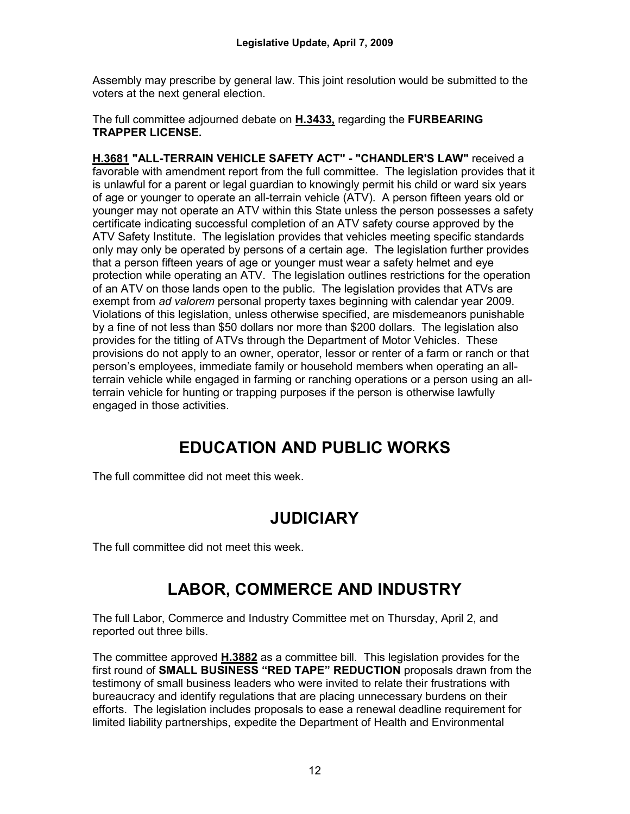Assembly may prescribe by general law. This joint resolution would be submitted to the voters at the next general election.

The full committee adjourned debate on **H.3433,** regarding the **FURBEARING TRAPPER LICENSE.**

**H.3681 "ALL-TERRAIN VEHICLE SAFETY ACT" - "CHANDLER'S LAW"** received a favorable with amendment report from the full committee. The legislation provides that it is unlawful for a parent or legal guardian to knowingly permit his child or ward six years of age or younger to operate an all-terrain vehicle (ATV). A person fifteen years old or younger may not operate an ATV within this State unless the person possesses a safety certificate indicating successful completion of an ATV safety course approved by the ATV Safety Institute. The legislation provides that vehicles meeting specific standards only may only be operated by persons of a certain age. The legislation further provides that a person fifteen years of age or younger must wear a safety helmet and eye protection while operating an ATV. The legislation outlines restrictions for the operation of an ATV on those lands open to the public. The legislation provides that ATVs are exempt from *ad valorem* personal property taxes beginning with calendar year 2009. Violations of this legislation, unless otherwise specified, are misdemeanors punishable by a fine of not less than \$50 dollars nor more than \$200 dollars. The legislation also provides for the titling of ATVs through the Department of Motor Vehicles. These provisions do not apply to an owner, operator, lessor or renter of a farm or ranch or that person's employees, immediate family or household members when operating an allterrain vehicle while engaged in farming or ranching operations or a person using an allterrain vehicle for hunting or trapping purposes if the person is otherwise lawfully engaged in those activities.

# **EDUCATION AND PUBLIC WORKS**

The full committee did not meet this week.

# **JUDICIARY**

The full committee did not meet this week.

# **LABOR, COMMERCE AND INDUSTRY**

The full Labor, Commerce and Industry Committee met on Thursday, April 2, and reported out three bills.

The committee approved **H.3882** as a committee bill. This legislation provides for the first round of **SMALL BUSINESS "RED TAPE" REDUCTION** proposals drawn from the testimony of small business leaders who were invited to relate their frustrations with bureaucracy and identify regulations that are placing unnecessary burdens on their efforts. The legislation includes proposals to ease a renewal deadline requirement for limited liability partnerships, expedite the Department of Health and Environmental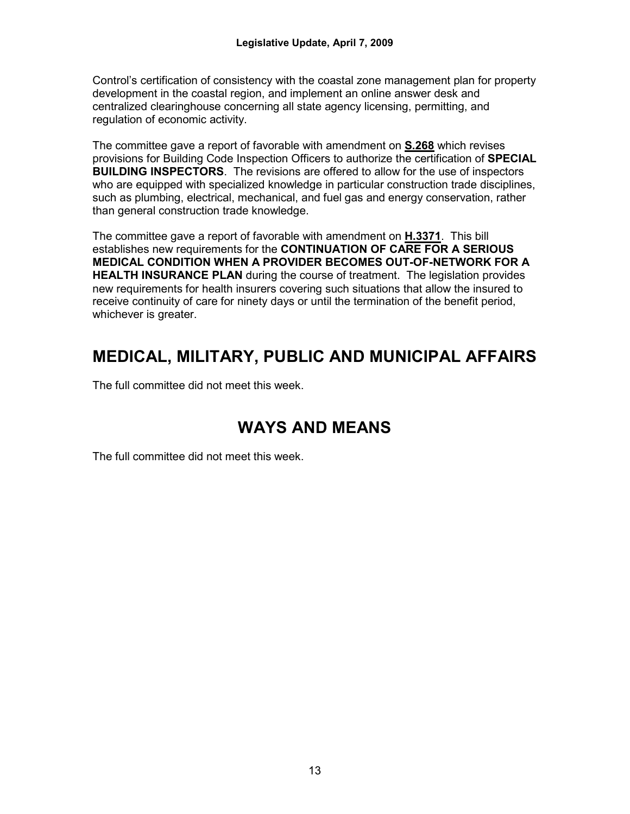Control's certification of consistency with the coastal zone management plan for property development in the coastal region, and implement an online answer desk and centralized clearinghouse concerning all state agency licensing, permitting, and regulation of economic activity.

The committee gave a report of favorable with amendment on **S.268** which revises provisions for Building Code Inspection Officers to authorize the certification of **SPECIAL BUILDING INSPECTORS**. The revisions are offered to allow for the use of inspectors who are equipped with specialized knowledge in particular construction trade disciplines, such as plumbing, electrical, mechanical, and fuel gas and energy conservation, rather than general construction trade knowledge.

The committee gave a report of favorable with amendment on **H.3371**. This bill establishes new requirements for the **CONTINUATION OF CARE FOR A SERIOUS MEDICAL CONDITION WHEN A PROVIDER BECOMES OUT-OF-NETWORK FOR A HEALTH INSURANCE PLAN** during the course of treatment. The legislation provides new requirements for health insurers covering such situations that allow the insured to receive continuity of care for ninety days or until the termination of the benefit period, whichever is greater.

# **MEDICAL, MILITARY, PUBLIC AND MUNICIPAL AFFAIRS**

The full committee did not meet this week.

# **WAYS AND MEANS**

The full committee did not meet this week.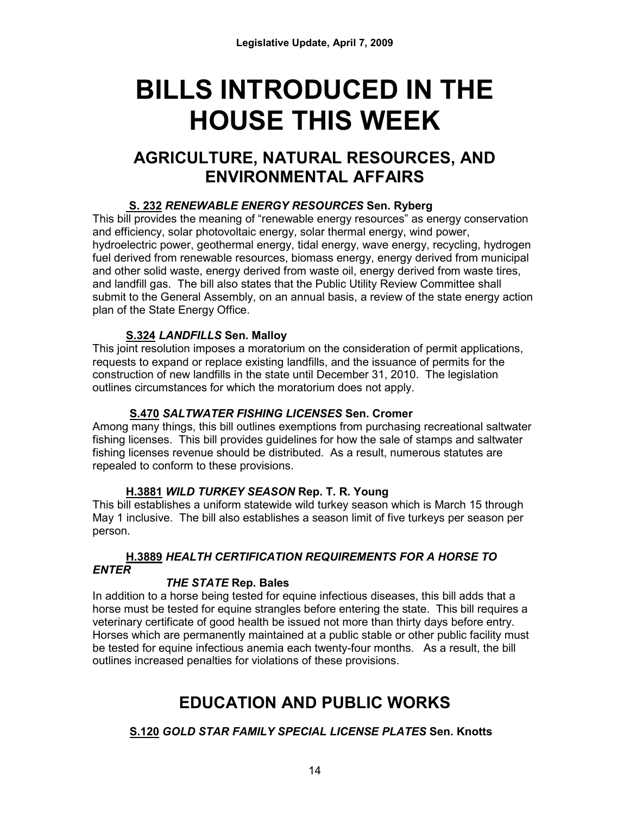# **BILLS INTRODUCED IN THE HOUSE THIS WEEK**

# **AGRICULTURE, NATURAL RESOURCES, AND ENVIRONMENTAL AFFAIRS**

# **S. 232** *RENEWABLE ENERGY RESOURCES* **Sen. Ryberg**

This bill provides the meaning of "renewable energy resources" as energy conservation and efficiency, solar photovoltaic energy, solar thermal energy, wind power, hydroelectric power, geothermal energy, tidal energy, wave energy, recycling, hydrogen fuel derived from renewable resources, biomass energy, energy derived from municipal and other solid waste, energy derived from waste oil, energy derived from waste tires, and landfill gas. The bill also states that the Public Utility Review Committee shall submit to the General Assembly, on an annual basis, a review of the state energy action plan of the State Energy Office.

## **S.324** *LANDFILLS* **Sen. Malloy**

This joint resolution imposes a moratorium on the consideration of permit applications, requests to expand or replace existing landfills, and the issuance of permits for the construction of new landfills in the state until December 31, 2010. The legislation outlines circumstances for which the moratorium does not apply.

## **S.470** *SALTWATER FISHING LICENSES* **Sen. Cromer**

Among many things, this bill outlines exemptions from purchasing recreational saltwater fishing licenses. This bill provides guidelines for how the sale of stamps and saltwater fishing licenses revenue should be distributed. As a result, numerous statutes are repealed to conform to these provisions.

# **H.3881** *WILD TURKEY SEASON* **Rep. T. R. Young**

This bill establishes a uniform statewide wild turkey season which is March 15 through May 1 inclusive. The bill also establishes a season limit of five turkeys per season per person.

## **H.3889** *HEALTH CERTIFICATION REQUIREMENTS FOR A HORSE TO ENTER*

## *THE STATE* **Rep. Bales**

In addition to a horse being tested for equine infectious diseases, this bill adds that a horse must be tested for equine strangles before entering the state. This bill requires a veterinary certificate of good health be issued not more than thirty days before entry. Horses which are permanently maintained at a public stable or other public facility must be tested for equine infectious anemia each twenty-four months. As a result, the bill outlines increased penalties for violations of these provisions.

# **EDUCATION AND PUBLIC WORKS**

# **S.120** *GOLD STAR FAMILY SPECIAL LICENSE PLATES* **Sen. Knotts**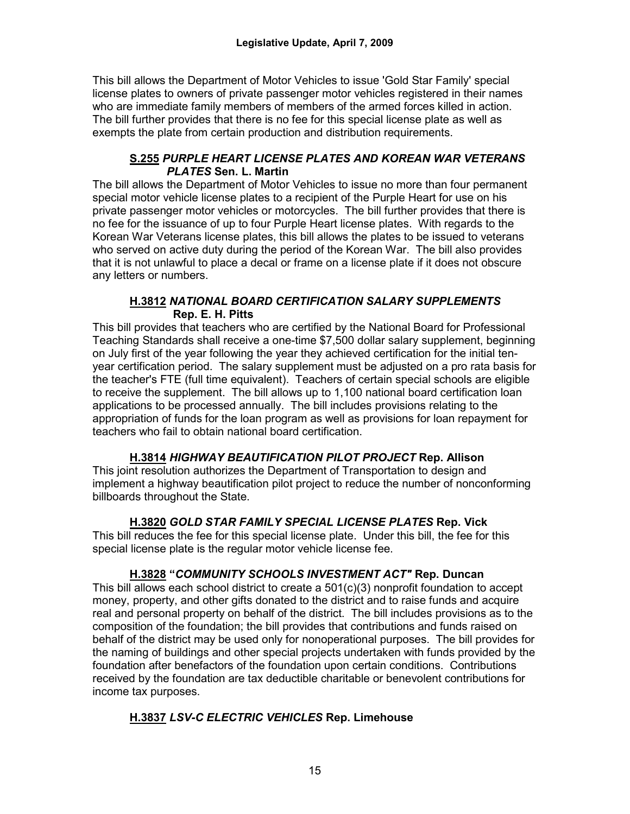This bill allows the Department of Motor Vehicles to issue 'Gold Star Family' special license plates to owners of private passenger motor vehicles registered in their names who are immediate family members of members of the armed forces killed in action. The bill further provides that there is no fee for this special license plate as well as exempts the plate from certain production and distribution requirements.

#### **S.255** *PURPLE HEART LICENSE PLATES AND KOREAN WAR VETERANS PLATES* **Sen. L. Martin**

The bill allows the Department of Motor Vehicles to issue no more than four permanent special motor vehicle license plates to a recipient of the Purple Heart for use on his private passenger motor vehicles or motorcycles. The bill further provides that there is no fee for the issuance of up to four Purple Heart license plates. With regards to the Korean War Veterans license plates, this bill allows the plates to be issued to veterans who served on active duty during the period of the Korean War. The bill also provides that it is not unlawful to place a decal or frame on a license plate if it does not obscure any letters or numbers.

#### **H.3812** *NATIONAL BOARD CERTIFICATION SALARY SUPPLEMENTS* **Rep. E. H. Pitts**

This bill provides that teachers who are certified by the National Board for Professional Teaching Standards shall receive a one-time \$7,500 dollar salary supplement, beginning on July first of the year following the year they achieved certification for the initial tenyear certification period. The salary supplement must be adjusted on a pro rata basis for the teacher's FTE (full time equivalent). Teachers of certain special schools are eligible to receive the supplement. The bill allows up to 1,100 national board certification loan applications to be processed annually. The bill includes provisions relating to the appropriation of funds for the loan program as well as provisions for loan repayment for teachers who fail to obtain national board certification.

# **H.3814** *HIGHWAY BEAUTIFICATION PILOT PROJECT* **Rep. Allison**

This joint resolution authorizes the Department of Transportation to design and implement a highway beautification pilot project to reduce the number of nonconforming billboards throughout the State.

# **H.3820** *GOLD STAR FAMILY SPECIAL LICENSE PLATES* **Rep. Vick**

This bill reduces the fee for this special license plate. Under this bill, the fee for this special license plate is the regular motor vehicle license fee.

## **H.3828 "***COMMUNITY SCHOOLS INVESTMENT ACT"* **Rep. Duncan**

This bill allows each school district to create a 501(c)(3) nonprofit foundation to accept money, property, and other gifts donated to the district and to raise funds and acquire real and personal property on behalf of the district. The bill includes provisions as to the composition of the foundation; the bill provides that contributions and funds raised on behalf of the district may be used only for nonoperational purposes. The bill provides for the naming of buildings and other special projects undertaken with funds provided by the foundation after benefactors of the foundation upon certain conditions. Contributions received by the foundation are tax deductible charitable or benevolent contributions for income tax purposes.

# **H.3837** *LSV-C ELECTRIC VEHICLES* **Rep. Limehouse**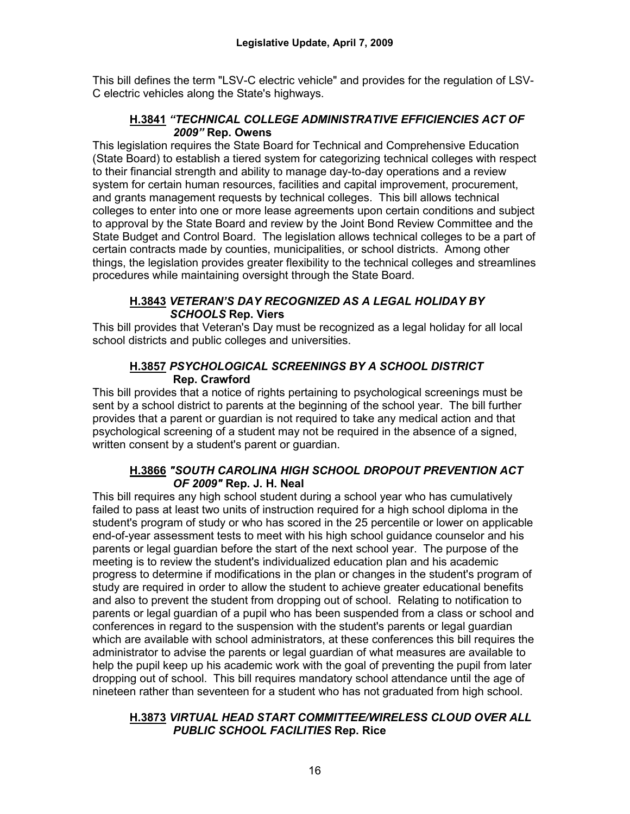This bill defines the term "LSV-C electric vehicle" and provides for the regulation of LSV-C electric vehicles along the State's highways.

## **H.3841** *"TECHNICAL COLLEGE ADMINISTRATIVE EFFICIENCIES ACT OF 2009"* **Rep. Owens**

This legislation requires the State Board for Technical and Comprehensive Education (State Board) to establish a tiered system for categorizing technical colleges with respect to their financial strength and ability to manage day-to-day operations and a review system for certain human resources, facilities and capital improvement, procurement, and grants management requests by technical colleges. This bill allows technical colleges to enter into one or more lease agreements upon certain conditions and subject to approval by the State Board and review by the Joint Bond Review Committee and the State Budget and Control Board. The legislation allows technical colleges to be a part of certain contracts made by counties, municipalities, or school districts. Among other things, the legislation provides greater flexibility to the technical colleges and streamlines procedures while maintaining oversight through the State Board.

#### **H.3843** *VETERAN'S DAY RECOGNIZED AS A LEGAL HOLIDAY BY SCHOOLS* **Rep. Viers**

This bill provides that Veteran's Day must be recognized as a legal holiday for all local school districts and public colleges and universities.

#### **H.3857** *PSYCHOLOGICAL SCREENINGS BY A SCHOOL DISTRICT* **Rep. Crawford**

This bill provides that a notice of rights pertaining to psychological screenings must be sent by a school district to parents at the beginning of the school year. The bill further provides that a parent or guardian is not required to take any medical action and that psychological screening of a student may not be required in the absence of a signed, written consent by a student's parent or guardian.

## **H.3866** *"SOUTH CAROLINA HIGH SCHOOL DROPOUT PREVENTION ACT OF 2009"* **Rep. J. H. Neal**

This bill requires any high school student during a school year who has cumulatively failed to pass at least two units of instruction required for a high school diploma in the student's program of study or who has scored in the 25 percentile or lower on applicable end-of-year assessment tests to meet with his high school guidance counselor and his parents or legal guardian before the start of the next school year. The purpose of the meeting is to review the student's individualized education plan and his academic progress to determine if modifications in the plan or changes in the student's program of study are required in order to allow the student to achieve greater educational benefits and also to prevent the student from dropping out of school. Relating to notification to parents or legal guardian of a pupil who has been suspended from a class or school and conferences in regard to the suspension with the student's parents or legal guardian which are available with school administrators, at these conferences this bill requires the administrator to advise the parents or legal guardian of what measures are available to help the pupil keep up his academic work with the goal of preventing the pupil from later dropping out of school. This bill requires mandatory school attendance until the age of nineteen rather than seventeen for a student who has not graduated from high school.

#### **H.3873** *VIRTUAL HEAD START COMMITTEE/WIRELESS CLOUD OVER ALL PUBLIC SCHOOL FACILITIES* **Rep. Rice**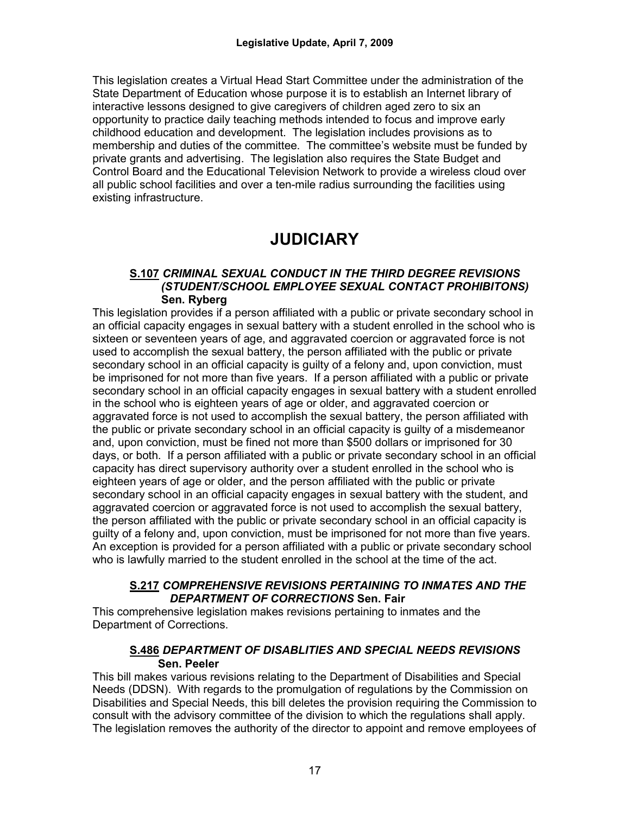This legislation creates a Virtual Head Start Committee under the administration of the State Department of Education whose purpose it is to establish an Internet library of interactive lessons designed to give caregivers of children aged zero to six an opportunity to practice daily teaching methods intended to focus and improve early childhood education and development. The legislation includes provisions as to membership and duties of the committee. The committee's website must be funded by private grants and advertising. The legislation also requires the State Budget and Control Board and the Educational Television Network to provide a wireless cloud over all public school facilities and over a ten-mile radius surrounding the facilities using existing infrastructure.

# **JUDICIARY**

#### **S.107** *CRIMINAL SEXUAL CONDUCT IN THE THIRD DEGREE REVISIONS (STUDENT/SCHOOL EMPLOYEE SEXUAL CONTACT PROHIBITONS)* **Sen. Ryberg**

This legislation provides if a person affiliated with a public or private secondary school in an official capacity engages in sexual battery with a student enrolled in the school who is sixteen or seventeen years of age, and aggravated coercion or aggravated force is not used to accomplish the sexual battery, the person affiliated with the public or private secondary school in an official capacity is guilty of a felony and, upon conviction, must be imprisoned for not more than five years. If a person affiliated with a public or private secondary school in an official capacity engages in sexual battery with a student enrolled in the school who is eighteen years of age or older, and aggravated coercion or aggravated force is not used to accomplish the sexual battery, the person affiliated with the public or private secondary school in an official capacity is guilty of a misdemeanor and, upon conviction, must be fined not more than \$500 dollars or imprisoned for 30 days, or both. If a person affiliated with a public or private secondary school in an official capacity has direct supervisory authority over a student enrolled in the school who is eighteen years of age or older, and the person affiliated with the public or private secondary school in an official capacity engages in sexual battery with the student, and aggravated coercion or aggravated force is not used to accomplish the sexual battery, the person affiliated with the public or private secondary school in an official capacity is guilty of a felony and, upon conviction, must be imprisoned for not more than five years. An exception is provided for a person affiliated with a public or private secondary school who is lawfully married to the student enrolled in the school at the time of the act.

#### **S.217** *COMPREHENSIVE REVISIONS PERTAINING TO INMATES AND THE DEPARTMENT OF CORRECTIONS* **Sen. Fair**

This comprehensive legislation makes revisions pertaining to inmates and the Department of Corrections.

#### **S.486** *DEPARTMENT OF DISABLITIES AND SPECIAL NEEDS REVISIONS* **Sen. Peeler**

This bill makes various revisions relating to the Department of Disabilities and Special Needs (DDSN). With regards to the promulgation of regulations by the Commission on Disabilities and Special Needs, this bill deletes the provision requiring the Commission to consult with the advisory committee of the division to which the regulations shall apply. The legislation removes the authority of the director to appoint and remove employees of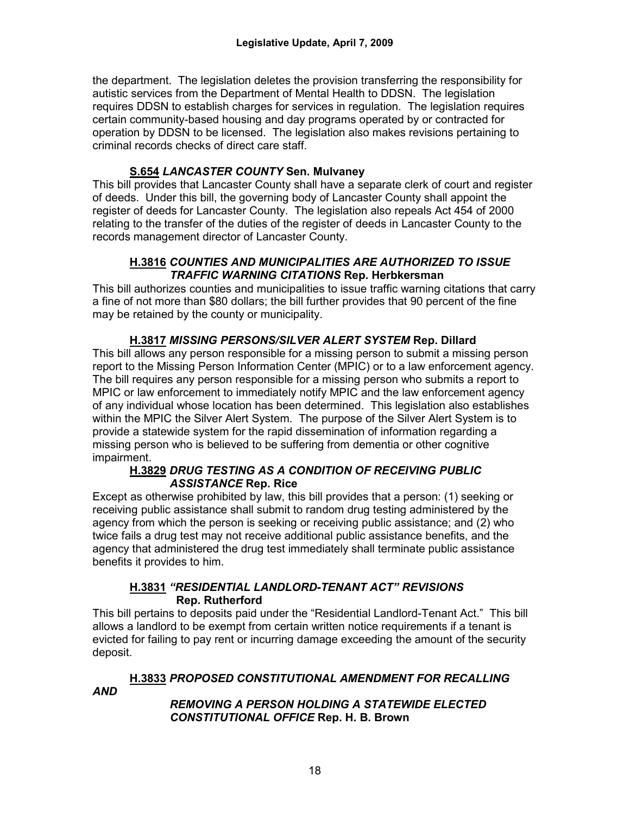the department. The legislation deletes the provision transferring the responsibility for autistic services from the Department of Mental Health to DDSN. The legislation requires DDSN to establish charges for services in regulation. The legislation requires certain community-based housing and day programs operated by or contracted for operation by DDSN to be licensed. The legislation also makes revisions pertaining to criminal records checks of direct care staff.

## **S.654** *LANCASTER COUNTY* **Sen. Mulvaney**

This bill provides that Lancaster County shall have a separate clerk of court and register of deeds. Under this bill, the governing body of Lancaster County shall appoint the register of deeds for Lancaster County. The legislation also repeals Act 454 of 2000 relating to the transfer of the duties of the register of deeds in Lancaster County to the records management director of Lancaster County.

#### **H.3816** *COUNTIES AND MUNICIPALITIES ARE AUTHORIZED TO ISSUE TRAFFIC WARNING CITATIONS* **Rep. Herbkersman**

This bill authorizes counties and municipalities to issue traffic warning citations that carry a fine of not more than \$80 dollars; the bill further provides that 90 percent of the fine may be retained by the county or municipality.

## **H.3817** *MISSING PERSONS/SILVER ALERT SYSTEM* **Rep. Dillard**

This bill allows any person responsible for a missing person to submit a missing person report to the Missing Person Information Center (MPIC) or to a law enforcement agency. The bill requires any person responsible for a missing person who submits a report to MPIC or law enforcement to immediately notify MPIC and the law enforcement agency of any individual whose location has been determined. This legislation also establishes within the MPIC the Silver Alert System. The purpose of the Silver Alert System is to provide a statewide system for the rapid dissemination of information regarding a missing person who is believed to be suffering from dementia or other cognitive impairment.

#### **H.3829** *DRUG TESTING AS A CONDITION OF RECEIVING PUBLIC ASSISTANCE* **Rep. Rice**

Except as otherwise prohibited by law, this bill provides that a person: (1) seeking or receiving public assistance shall submit to random drug testing administered by the agency from which the person is seeking or receiving public assistance; and (2) who twice fails a drug test may not receive additional public assistance benefits, and the agency that administered the drug test immediately shall terminate public assistance benefits it provides to him.

#### **H.3831** *"RESIDENTIAL LANDLORD-TENANT ACT" REVISIONS*  **Rep. Rutherford**

This bill pertains to deposits paid under the "Residential Landlord-Tenant Act." This bill allows a landlord to be exempt from certain written notice requirements if a tenant is evicted for failing to pay rent or incurring damage exceeding the amount of the security deposit.

# **H.3833** *PROPOSED CONSTITUTIONAL AMENDMENT FOR RECALLING*

*AND* 

## *REMOVING A PERSON HOLDING A STATEWIDE ELECTED CONSTITUTIONAL OFFICE* **Rep. H. B. Brown**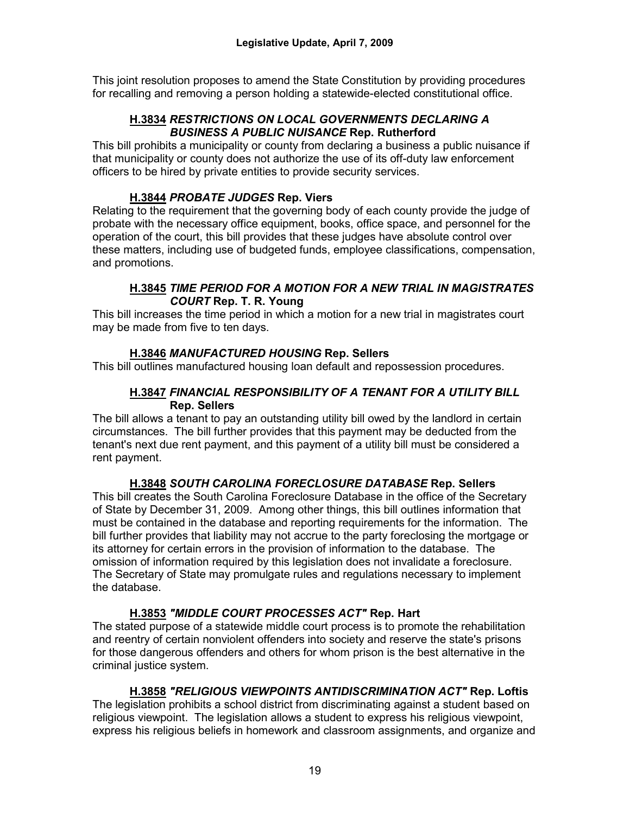This joint resolution proposes to amend the State Constitution by providing procedures for recalling and removing a person holding a statewide-elected constitutional office.

#### **H.3834** *RESTRICTIONS ON LOCAL GOVERNMENTS DECLARING A BUSINESS A PUBLIC NUISANCE* **Rep. Rutherford**

This bill prohibits a municipality or county from declaring a business a public nuisance if that municipality or county does not authorize the use of its off-duty law enforcement officers to be hired by private entities to provide security services.

#### **H.3844** *PROBATE JUDGES* **Rep. Viers**

Relating to the requirement that the governing body of each county provide the judge of probate with the necessary office equipment, books, office space, and personnel for the operation of the court, this bill provides that these judges have absolute control over these matters, including use of budgeted funds, employee classifications, compensation, and promotions.

#### **H.3845** *TIME PERIOD FOR A MOTION FOR A NEW TRIAL IN MAGISTRATES COURT* **Rep. T. R. Young**

This bill increases the time period in which a motion for a new trial in magistrates court may be made from five to ten days.

## **H.3846** *MANUFACTURED HOUSING* **Rep. Sellers**

This bill outlines manufactured housing loan default and repossession procedures.

#### **H.3847** *FINANCIAL RESPONSIBILITY OF A TENANT FOR A UTILITY BILL* **Rep. Sellers**

The bill allows a tenant to pay an outstanding utility bill owed by the landlord in certain circumstances. The bill further provides that this payment may be deducted from the tenant's next due rent payment, and this payment of a utility bill must be considered a rent payment.

## **H.3848** *SOUTH CAROLINA FORECLOSURE DATABASE* **Rep. Sellers**

This bill creates the South Carolina Foreclosure Database in the office of the Secretary of State by December 31, 2009. Among other things, this bill outlines information that must be contained in the database and reporting requirements for the information. The bill further provides that liability may not accrue to the party foreclosing the mortgage or its attorney for certain errors in the provision of information to the database. The omission of information required by this legislation does not invalidate a foreclosure. The Secretary of State may promulgate rules and regulations necessary to implement the database.

## **H.3853** *"MIDDLE COURT PROCESSES ACT"* **Rep. Hart**

The stated purpose of a statewide middle court process is to promote the rehabilitation and reentry of certain nonviolent offenders into society and reserve the state's prisons for those dangerous offenders and others for whom prison is the best alternative in the criminal justice system.

## **H.3858** *"RELIGIOUS VIEWPOINTS ANTIDISCRIMINATION ACT"* **Rep. Loftis**

The legislation prohibits a school district from discriminating against a student based on religious viewpoint. The legislation allows a student to express his religious viewpoint, express his religious beliefs in homework and classroom assignments, and organize and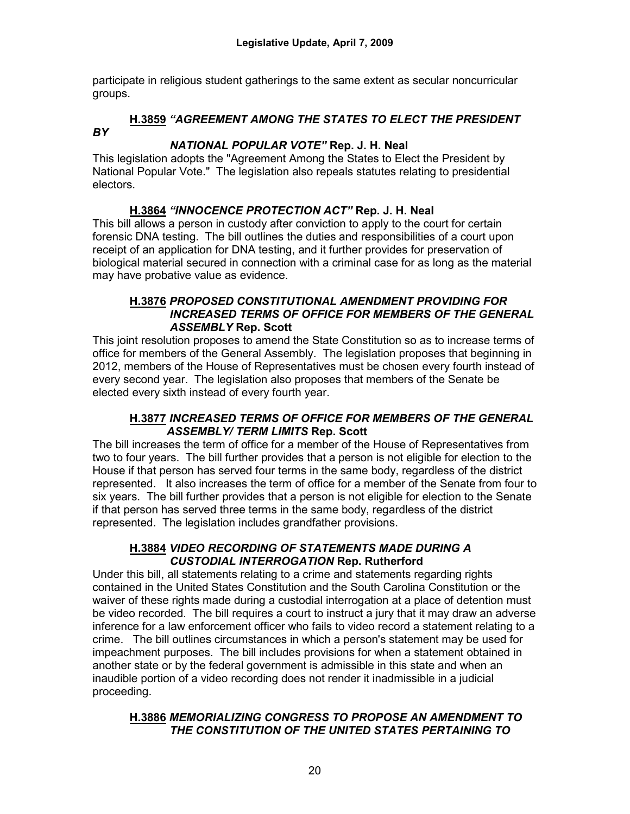participate in religious student gatherings to the same extent as secular noncurricular groups.

## **H.3859** *"AGREEMENT AMONG THE STATES TO ELECT THE PRESIDENT BY*

## *NATIONAL POPULAR VOTE"* **Rep. J. H. Neal**

This legislation adopts the "Agreement Among the States to Elect the President by National Popular Vote." The legislation also repeals statutes relating to presidential electors.

## **H.3864** *"INNOCENCE PROTECTION ACT"* **Rep. J. H. Neal**

This bill allows a person in custody after conviction to apply to the court for certain forensic DNA testing. The bill outlines the duties and responsibilities of a court upon receipt of an application for DNA testing, and it further provides for preservation of biological material secured in connection with a criminal case for as long as the material may have probative value as evidence.

#### **H.3876** *PROPOSED CONSTITUTIONAL AMENDMENT PROVIDING FOR INCREASED TERMS OF OFFICE FOR MEMBERS OF THE GENERAL ASSEMBLY* **Rep. Scott**

This joint resolution proposes to amend the State Constitution so as to increase terms of office for members of the General Assembly. The legislation proposes that beginning in 2012, members of the House of Representatives must be chosen every fourth instead of every second year. The legislation also proposes that members of the Senate be elected every sixth instead of every fourth year.

#### **H.3877** *INCREASED TERMS OF OFFICE FOR MEMBERS OF THE GENERAL ASSEMBLY/ TERM LIMITS* **Rep. Scott**

The bill increases the term of office for a member of the House of Representatives from two to four years. The bill further provides that a person is not eligible for election to the House if that person has served four terms in the same body, regardless of the district represented. It also increases the term of office for a member of the Senate from four to six years. The bill further provides that a person is not eligible for election to the Senate if that person has served three terms in the same body, regardless of the district represented. The legislation includes grandfather provisions.

#### **H.3884** *VIDEO RECORDING OF STATEMENTS MADE DURING A CUSTODIAL INTERROGATION* **Rep. Rutherford**

Under this bill, all statements relating to a crime and statements regarding rights contained in the United States Constitution and the South Carolina Constitution or the waiver of these rights made during a custodial interrogation at a place of detention must be video recorded. The bill requires a court to instruct a jury that it may draw an adverse inference for a law enforcement officer who fails to video record a statement relating to a crime. The bill outlines circumstances in which a person's statement may be used for impeachment purposes. The bill includes provisions for when a statement obtained in another state or by the federal government is admissible in this state and when an inaudible portion of a video recording does not render it inadmissible in a judicial proceeding.

#### **H.3886** *MEMORIALIZING CONGRESS TO PROPOSE AN AMENDMENT TO THE CONSTITUTION OF THE UNITED STATES PERTAINING TO*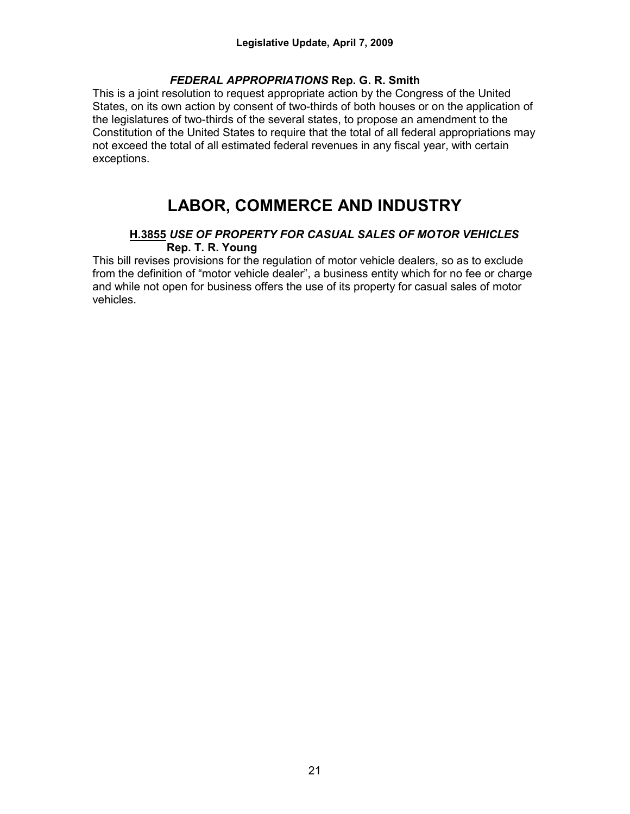#### *FEDERAL APPROPRIATIONS* **Rep. G. R. Smith**

This is a joint resolution to request appropriate action by the Congress of the United States, on its own action by consent of two-thirds of both houses or on the application of the legislatures of two-thirds of the several states, to propose an amendment to the Constitution of the United States to require that the total of all federal appropriations may not exceed the total of all estimated federal revenues in any fiscal year, with certain exceptions.

# **LABOR, COMMERCE AND INDUSTRY**

#### **H.3855** *USE OF PROPERTY FOR CASUAL SALES OF MOTOR VEHICLES* **Rep. T. R. Young**

This bill revises provisions for the regulation of motor vehicle dealers, so as to exclude from the definition of "motor vehicle dealer", a business entity which for no fee or charge and while not open for business offers the use of its property for casual sales of motor vehicles.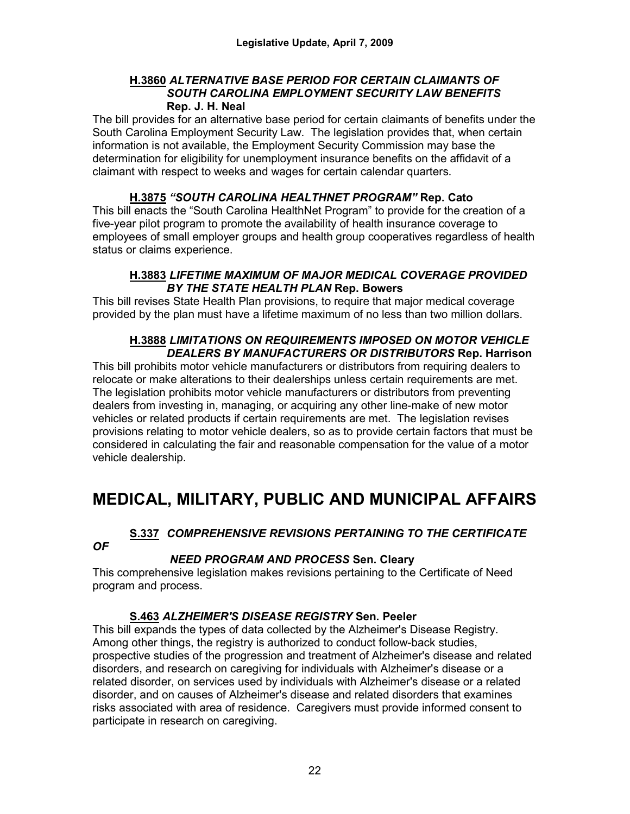#### **H.3860** *ALTERNATIVE BASE PERIOD FOR CERTAIN CLAIMANTS OF SOUTH CAROLINA EMPLOYMENT SECURITY LAW BENEFITS* **Rep. J. H. Neal**

The bill provides for an alternative base period for certain claimants of benefits under the South Carolina Employment Security Law. The legislation provides that, when certain information is not available, the Employment Security Commission may base the determination for eligibility for unemployment insurance benefits on the affidavit of a claimant with respect to weeks and wages for certain calendar quarters.

## **H.3875** *"SOUTH CAROLINA HEALTHNET PROGRAM"* **Rep. Cato**

This bill enacts the "South Carolina HealthNet Program" to provide for the creation of a five-year pilot program to promote the availability of health insurance coverage to employees of small employer groups and health group cooperatives regardless of health status or claims experience.

#### **H.3883** *LIFETIME MAXIMUM OF MAJOR MEDICAL COVERAGE PROVIDED BY THE STATE HEALTH PLAN* **Rep. Bowers**

This bill revises State Health Plan provisions, to require that major medical coverage provided by the plan must have a lifetime maximum of no less than two million dollars.

#### **H.3888** *LIMITATIONS ON REQUIREMENTS IMPOSED ON MOTOR VEHICLE DEALERS BY MANUFACTURERS OR DISTRIBUTORS* **Rep. Harrison**

This bill prohibits motor vehicle manufacturers or distributors from requiring dealers to relocate or make alterations to their dealerships unless certain requirements are met. The legislation prohibits motor vehicle manufacturers or distributors from preventing dealers from investing in, managing, or acquiring any other line-make of new motor vehicles or related products if certain requirements are met. The legislation revises provisions relating to motor vehicle dealers, so as to provide certain factors that must be considered in calculating the fair and reasonable compensation for the value of a motor vehicle dealership.

# **MEDICAL, MILITARY, PUBLIC AND MUNICIPAL AFFAIRS**

*OF*

# **S.337** *COMPREHENSIVE REVISIONS PERTAINING TO THE CERTIFICATE*

#### *NEED PROGRAM AND PROCESS* **Sen. Cleary**

This comprehensive legislation makes revisions pertaining to the Certificate of Need program and process.

## **S.463** *ALZHEIMER'S DISEASE REGISTRY* **Sen. Peeler**

This bill expands the types of data collected by the Alzheimer's Disease Registry. Among other things, the registry is authorized to conduct follow-back studies, prospective studies of the progression and treatment of Alzheimer's disease and related disorders, and research on caregiving for individuals with Alzheimer's disease or a related disorder, on services used by individuals with Alzheimer's disease or a related disorder, and on causes of Alzheimer's disease and related disorders that examines risks associated with area of residence. Caregivers must provide informed consent to participate in research on caregiving.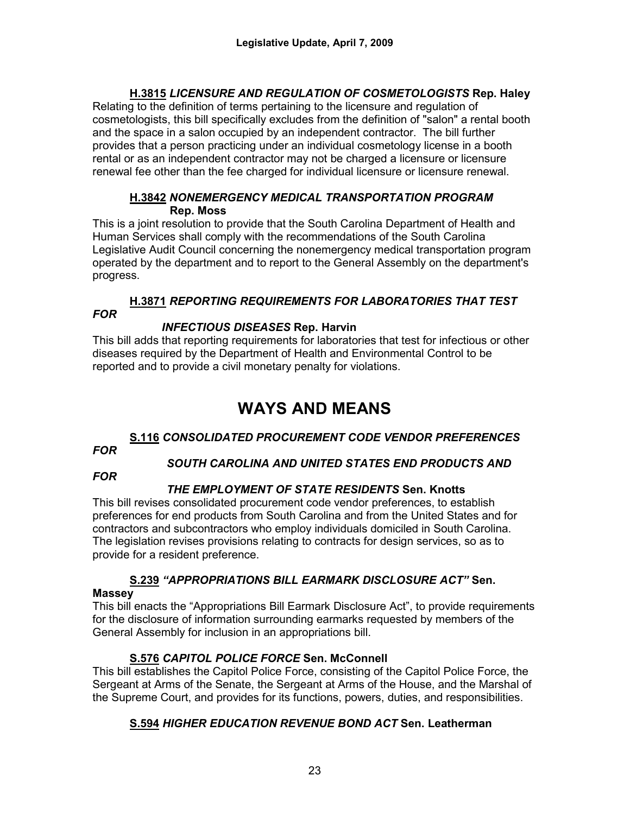## **H.3815** *LICENSURE AND REGULATION OF COSMETOLOGISTS* **Rep. Haley**

Relating to the definition of terms pertaining to the licensure and regulation of cosmetologists, this bill specifically excludes from the definition of "salon" a rental booth and the space in a salon occupied by an independent contractor. The bill further provides that a person practicing under an individual cosmetology license in a booth rental or as an independent contractor may not be charged a licensure or licensure renewal fee other than the fee charged for individual licensure or licensure renewal.

#### **H.3842** *NONEMERGENCY MEDICAL TRANSPORTATION PROGRAM* **Rep. Moss**

This is a joint resolution to provide that the South Carolina Department of Health and Human Services shall comply with the recommendations of the South Carolina Legislative Audit Council concerning the nonemergency medical transportation program operated by the department and to report to the General Assembly on the department's progress.

# **H.3871** *REPORTING REQUIREMENTS FOR LABORATORIES THAT TEST*

## *INFECTIOUS DISEASES* **Rep. Harvin**

This bill adds that reporting requirements for laboratories that test for infectious or other diseases required by the Department of Health and Environmental Control to be reported and to provide a civil monetary penalty for violations.

# **WAYS AND MEANS**

# **S.116** *CONSOLIDATED PROCUREMENT CODE VENDOR PREFERENCES*

#### *FOR*

*FOR* 

## *SOUTH CAROLINA AND UNITED STATES END PRODUCTS AND*

*FOR*

# *THE EMPLOYMENT OF STATE RESIDENTS* **Sen. Knotts**

This bill revises consolidated procurement code vendor preferences, to establish preferences for end products from South Carolina and from the United States and for contractors and subcontractors who employ individuals domiciled in South Carolina. The legislation revises provisions relating to contracts for design services, so as to provide for a resident preference.

# **S.239** *"APPROPRIATIONS BILL EARMARK DISCLOSURE ACT"* **Sen.**

## **Massey**

This bill enacts the "Appropriations Bill Earmark Disclosure Act", to provide requirements for the disclosure of information surrounding earmarks requested by members of the General Assembly for inclusion in an appropriations bill.

# **S.576** *CAPITOL POLICE FORCE* **Sen. McConnell**

This bill establishes the Capitol Police Force, consisting of the Capitol Police Force, the Sergeant at Arms of the Senate, the Sergeant at Arms of the House, and the Marshal of the Supreme Court, and provides for its functions, powers, duties, and responsibilities.

# **S.594** *HIGHER EDUCATION REVENUE BOND ACT* **Sen. Leatherman**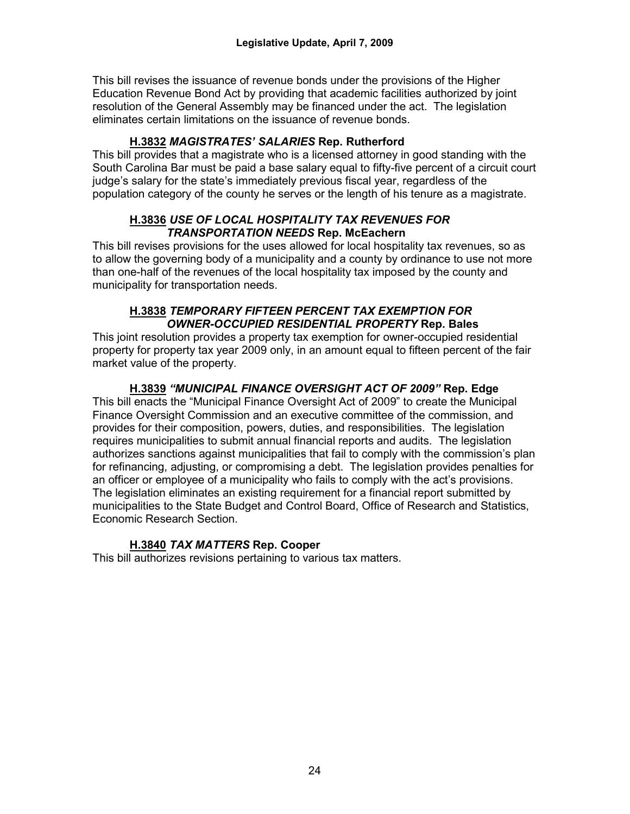This bill revises the issuance of revenue bonds under the provisions of the Higher Education Revenue Bond Act by providing that academic facilities authorized by joint resolution of the General Assembly may be financed under the act. The legislation eliminates certain limitations on the issuance of revenue bonds.

## **H.3832** *MAGISTRATES' SALARIES* **Rep. Rutherford**

This bill provides that a magistrate who is a licensed attorney in good standing with the South Carolina Bar must be paid a base salary equal to fifty-five percent of a circuit court judge's salary for the state's immediately previous fiscal year, regardless of the population category of the county he serves or the length of his tenure as a magistrate.

#### **H.3836** *USE OF LOCAL HOSPITALITY TAX REVENUES FOR TRANSPORTATION NEEDS* **Rep. McEachern**

This bill revises provisions for the uses allowed for local hospitality tax revenues, so as to allow the governing body of a municipality and a county by ordinance to use not more than one-half of the revenues of the local hospitality tax imposed by the county and municipality for transportation needs.

#### **H.3838** *TEMPORARY FIFTEEN PERCENT TAX EXEMPTION FOR OWNER-OCCUPIED RESIDENTIAL PROPERTY* **Rep. Bales**

This joint resolution provides a property tax exemption for owner-occupied residential property for property tax year 2009 only, in an amount equal to fifteen percent of the fair market value of the property.

## **H.3839** *"MUNICIPAL FINANCE OVERSIGHT ACT OF 2009"* **Rep. Edge**

This bill enacts the "Municipal Finance Oversight Act of 2009" to create the Municipal Finance Oversight Commission and an executive committee of the commission, and provides for their composition, powers, duties, and responsibilities. The legislation requires municipalities to submit annual financial reports and audits. The legislation authorizes sanctions against municipalities that fail to comply with the commission's plan for refinancing, adjusting, or compromising a debt. The legislation provides penalties for an officer or employee of a municipality who fails to comply with the act's provisions. The legislation eliminates an existing requirement for a financial report submitted by municipalities to the State Budget and Control Board, Office of Research and Statistics, Economic Research Section.

## **H.3840** *TAX MATTERS* **Rep. Cooper**

This bill authorizes revisions pertaining to various tax matters.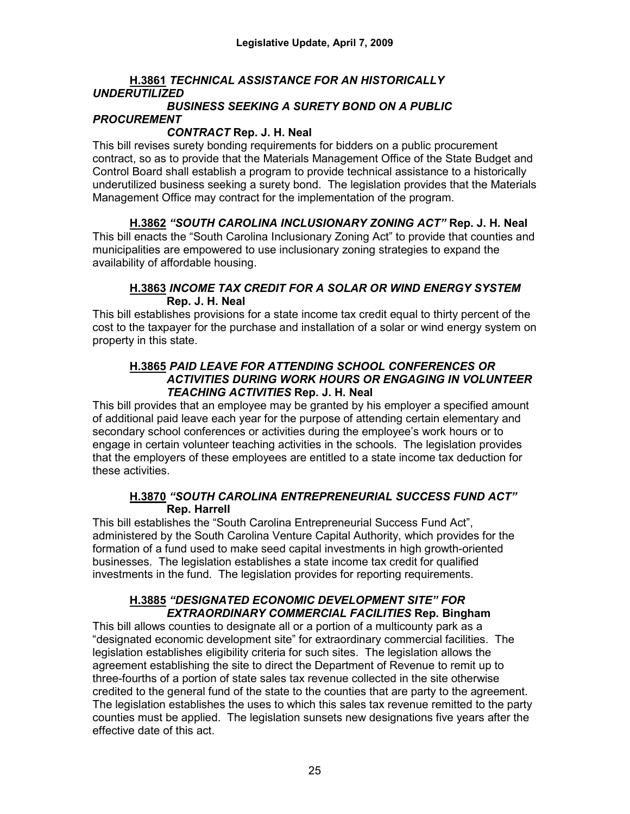## **H.3861** *TECHNICAL ASSISTANCE FOR AN HISTORICALLY UNDERUTILIZED*

#### *BUSINESS SEEKING A SURETY BOND ON A PUBLIC PROCUREMENT*

#### *CONTRACT* **Rep. J. H. Neal**

This bill revises surety bonding requirements for bidders on a public procurement contract, so as to provide that the Materials Management Office of the State Budget and Control Board shall establish a program to provide technical assistance to a historically underutilized business seeking a surety bond. The legislation provides that the Materials Management Office may contract for the implementation of the program.

**H.3862** *"SOUTH CAROLINA INCLUSIONARY ZONING ACT"* **Rep. J. H. Neal** This bill enacts the "South Carolina Inclusionary Zoning Act" to provide that counties and municipalities are empowered to use inclusionary zoning strategies to expand the availability of affordable housing.

#### **H.3863** *INCOME TAX CREDIT FOR A SOLAR OR WIND ENERGY SYSTEM* **Rep. J. H. Neal**

This bill establishes provisions for a state income tax credit equal to thirty percent of the cost to the taxpayer for the purchase and installation of a solar or wind energy system on property in this state.

#### **H.3865** *PAID LEAVE FOR ATTENDING SCHOOL CONFERENCES OR ACTIVITIES DURING WORK HOURS OR ENGAGING IN VOLUNTEER TEACHING ACTIVITIES* **Rep. J. H. Neal**

This bill provides that an employee may be granted by his employer a specified amount of additional paid leave each year for the purpose of attending certain elementary and secondary school conferences or activities during the employee's work hours or to engage in certain volunteer teaching activities in the schools. The legislation provides that the employers of these employees are entitled to a state income tax deduction for these activities.

## **H.3870** *"SOUTH CAROLINA ENTREPRENEURIAL SUCCESS FUND ACT"* **Rep. Harrell**

This bill establishes the "South Carolina Entrepreneurial Success Fund Act", administered by the South Carolina Venture Capital Authority, which provides for the formation of a fund used to make seed capital investments in high growth-oriented businesses. The legislation establishes a state income tax credit for qualified investments in the fund. The legislation provides for reporting requirements.

## **H.3885** *"DESIGNATED ECONOMIC DEVELOPMENT SITE" FOR EXTRAORDINARY COMMERCIAL FACILITIES* **Rep. Bingham**

This bill allows counties to designate all or a portion of a multicounty park as a "designated economic development site" for extraordinary commercial facilities. The legislation establishes eligibility criteria for such sites. The legislation allows the agreement establishing the site to direct the Department of Revenue to remit up to three-fourths of a portion of state sales tax revenue collected in the site otherwise credited to the general fund of the state to the counties that are party to the agreement. The legislation establishes the uses to which this sales tax revenue remitted to the party counties must be applied. The legislation sunsets new designations five years after the effective date of this act.